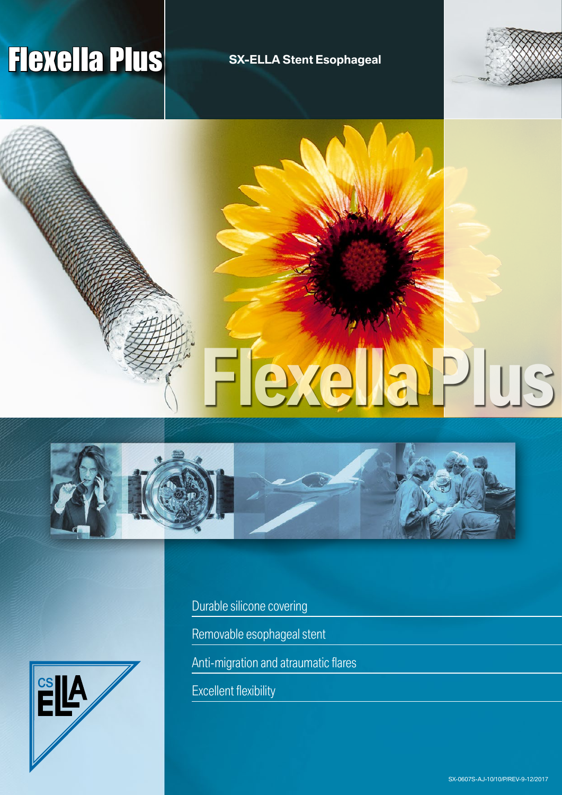# **Flexella Plus** SX-ELLA Stent Esophageal

**Flexella Plus**







Durable silicone covering

Removable esophageal stent

Anti-migration and atraumatic flares

Excellent flexibility